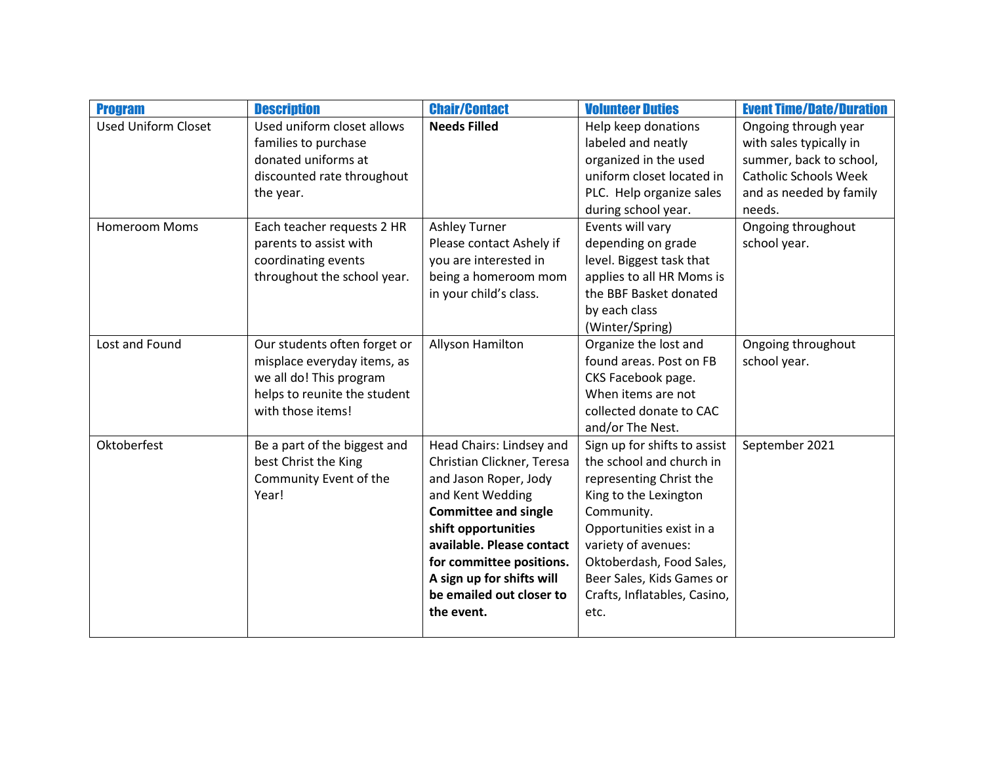| <b>Program</b>             | <b>Description</b>           | <b>Chair/Contact</b>        | <b>Volunteer Duties</b>      | <b>Event Time/Date/Duration</b> |
|----------------------------|------------------------------|-----------------------------|------------------------------|---------------------------------|
| <b>Used Uniform Closet</b> | Used uniform closet allows   | <b>Needs Filled</b>         | Help keep donations          | Ongoing through year            |
|                            | families to purchase         |                             | labeled and neatly           | with sales typically in         |
|                            | donated uniforms at          |                             | organized in the used        | summer, back to school,         |
|                            | discounted rate throughout   |                             | uniform closet located in    | <b>Catholic Schools Week</b>    |
|                            | the year.                    |                             | PLC. Help organize sales     | and as needed by family         |
|                            |                              |                             | during school year.          | needs.                          |
| <b>Homeroom Moms</b>       | Each teacher requests 2 HR   | <b>Ashley Turner</b>        | Events will vary             | Ongoing throughout              |
|                            | parents to assist with       | Please contact Ashely if    | depending on grade           | school year.                    |
|                            | coordinating events          | you are interested in       | level. Biggest task that     |                                 |
|                            | throughout the school year.  | being a homeroom mom        | applies to all HR Moms is    |                                 |
|                            |                              | in your child's class.      | the BBF Basket donated       |                                 |
|                            |                              |                             | by each class                |                                 |
|                            |                              |                             | (Winter/Spring)              |                                 |
| Lost and Found             | Our students often forget or | Allyson Hamilton            | Organize the lost and        | Ongoing throughout              |
|                            | misplace everyday items, as  |                             | found areas. Post on FB      | school year.                    |
|                            | we all do! This program      |                             | CKS Facebook page.           |                                 |
|                            | helps to reunite the student |                             | When items are not           |                                 |
|                            | with those items!            |                             | collected donate to CAC      |                                 |
|                            |                              |                             | and/or The Nest.             |                                 |
| Oktoberfest                | Be a part of the biggest and | Head Chairs: Lindsey and    | Sign up for shifts to assist | September 2021                  |
|                            | best Christ the King         | Christian Clickner, Teresa  | the school and church in     |                                 |
|                            | Community Event of the       | and Jason Roper, Jody       | representing Christ the      |                                 |
|                            | Year!                        | and Kent Wedding            | King to the Lexington        |                                 |
|                            |                              | <b>Committee and single</b> | Community.                   |                                 |
|                            |                              | shift opportunities         | Opportunities exist in a     |                                 |
|                            |                              | available. Please contact   | variety of avenues:          |                                 |
|                            |                              | for committee positions.    | Oktoberdash, Food Sales,     |                                 |
|                            |                              | A sign up for shifts will   | Beer Sales, Kids Games or    |                                 |
|                            |                              | be emailed out closer to    | Crafts, Inflatables, Casino, |                                 |
|                            |                              | the event.                  | etc.                         |                                 |
|                            |                              |                             |                              |                                 |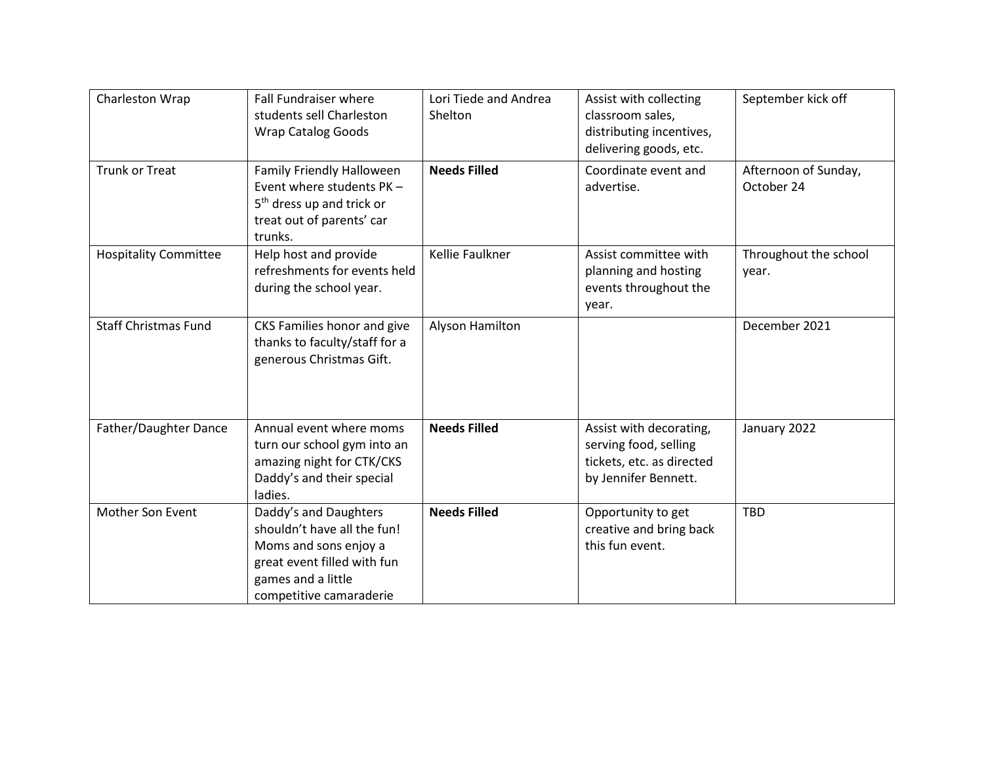| Charleston Wrap              | Fall Fundraiser where<br>students sell Charleston<br><b>Wrap Catalog Goods</b>                                                                                | Lori Tiede and Andrea<br>Shelton | Assist with collecting<br>classroom sales,<br>distributing incentives,<br>delivering goods, etc.      | September kick off                 |
|------------------------------|---------------------------------------------------------------------------------------------------------------------------------------------------------------|----------------------------------|-------------------------------------------------------------------------------------------------------|------------------------------------|
| <b>Trunk or Treat</b>        | Family Friendly Halloween<br>Event where students PK -<br>5 <sup>th</sup> dress up and trick or<br>treat out of parents' car<br>trunks.                       | <b>Needs Filled</b>              | Coordinate event and<br>advertise.                                                                    | Afternoon of Sunday,<br>October 24 |
| <b>Hospitality Committee</b> | Help host and provide<br>refreshments for events held<br>during the school year.                                                                              | <b>Kellie Faulkner</b>           | Assist committee with<br>planning and hosting<br>events throughout the<br>year.                       | Throughout the school<br>year.     |
| <b>Staff Christmas Fund</b>  | CKS Families honor and give<br>thanks to faculty/staff for a<br>generous Christmas Gift.                                                                      | Alyson Hamilton                  |                                                                                                       | December 2021                      |
| Father/Daughter Dance        | Annual event where moms<br>turn our school gym into an<br>amazing night for CTK/CKS<br>Daddy's and their special<br>ladies.                                   | <b>Needs Filled</b>              | Assist with decorating,<br>serving food, selling<br>tickets, etc. as directed<br>by Jennifer Bennett. | January 2022                       |
| Mother Son Event             | Daddy's and Daughters<br>shouldn't have all the fun!<br>Moms and sons enjoy a<br>great event filled with fun<br>games and a little<br>competitive camaraderie | <b>Needs Filled</b>              | Opportunity to get<br>creative and bring back<br>this fun event.                                      | TBD                                |